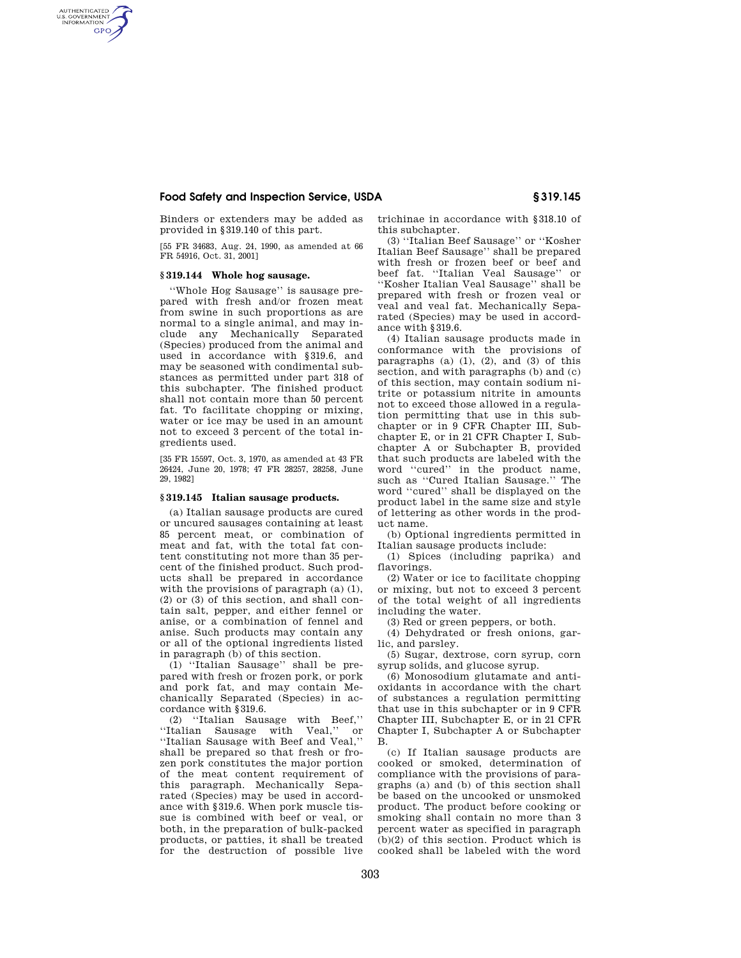# **Food Safety and Inspection Service, USDA § 319.145**

Binders or extenders may be added as provided in §319.140 of this part.

[55 FR 34683, Aug. 24, 1990, as amended at 66 FR 54916, Oct. 31, 2001]

# **§ 319.144 Whole hog sausage.**

AUTHENTICATED<br>U.S. GOVERNMENT<br>INFORMATION **GPO** 

> ''Whole Hog Sausage'' is sausage prepared with fresh and/or frozen meat from swine in such proportions as are normal to a single animal, and may include any Mechanically Separated (Species) produced from the animal and used in accordance with §319.6, and may be seasoned with condimental substances as permitted under part 318 of this subchapter. The finished product shall not contain more than 50 percent fat. To facilitate chopping or mixing, water or ice may be used in an amount not to exceed 3 percent of the total ingredients used.

[35 FR 15597, Oct. 3, 1970, as amended at 43 FR 26424, June 20, 1978; 47 FR 28257, 28258, June 29, 1982]

#### **§ 319.145 Italian sausage products.**

(a) Italian sausage products are cured or uncured sausages containing at least 85 percent meat, or combination of meat and fat, with the total fat content constituting not more than 35 percent of the finished product. Such products shall be prepared in accordance with the provisions of paragraph (a) (1), (2) or (3) of this section, and shall contain salt, pepper, and either fennel or anise, or a combination of fennel and anise. Such products may contain any or all of the optional ingredients listed in paragraph (b) of this section.

(1) ''Italian Sausage'' shall be prepared with fresh or frozen pork, or pork and pork fat, and may contain Mechanically Separated (Species) in accordance with §319.6.

(2) ''Italian Sausage with Beef,'' ''Italian Sausage with Veal,'' or ''Italian Sausage with Beef and Veal,'' shall be prepared so that fresh or frozen pork constitutes the major portion of the meat content requirement of this paragraph. Mechanically Separated (Species) may be used in accordance with §319.6. When pork muscle tissue is combined with beef or veal, or both, in the preparation of bulk-packed products, or patties, it shall be treated for the destruction of possible live

trichinae in accordance with §318.10 of this subchapter.

(3) ''Italian Beef Sausage'' or ''Kosher Italian Beef Sausage'' shall be prepared with fresh or frozen beef or beef and beef fat. ''Italian Veal Sausage'' or ''Kosher Italian Veal Sausage'' shall be prepared with fresh or frozen veal or veal and veal fat. Mechanically Separated (Species) may be used in accordance with §319.6.

(4) Italian sausage products made in conformance with the provisions of paragraphs  $(a)$   $(1)$ ,  $(2)$ , and  $(3)$  of this section, and with paragraphs (b) and (c) of this section, may contain sodium nitrite or potassium nitrite in amounts not to exceed those allowed in a regulation permitting that use in this subchapter or in 9 CFR Chapter III, Subchapter E, or in 21 CFR Chapter I, Subchapter A or Subchapter B, provided that such products are labeled with the word ''cured'' in the product name, such as ''Cured Italian Sausage.'' The word ''cured'' shall be displayed on the product label in the same size and style of lettering as other words in the product name.

(b) Optional ingredients permitted in Italian sausage products include:

(1) Spices (including paprika) and flavorings.

(2) Water or ice to facilitate chopping or mixing, but not to exceed 3 percent of the total weight of all ingredients including the water.

(3) Red or green peppers, or both.

(4) Dehydrated or fresh onions, garlic, and parsley.

(5) Sugar, dextrose, corn syrup, corn syrup solids, and glucose syrup.

(6) Monosodium glutamate and antioxidants in accordance with the chart of substances a regulation permitting that use in this subchapter or in 9 CFR Chapter III, Subchapter E, or in 21 CFR Chapter I, Subchapter A or Subchapter B.

(c) If Italian sausage products are cooked or smoked, determination of compliance with the provisions of paragraphs (a) and (b) of this section shall be based on the uncooked or unsmoked product. The product before cooking or smoking shall contain no more than 3 percent water as specified in paragraph (b)(2) of this section. Product which is cooked shall be labeled with the word